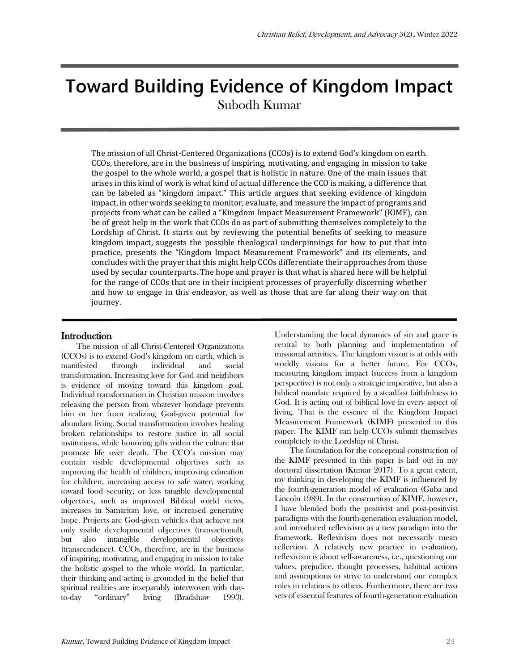# **Toward Building Evidence of Kingdom Impact** Subodh Kumar

The mission of all Christ-Centered Organizations (CCOs) is to extend God's kingdom on earth. CCOs, therefore, are in the business of inspiring, motivating, and engaging in mission to take the gospel to the whole world, a gospel that is holistic in nature. One of the main issues that arises in this kind of work is what kind of actual difference the CCO is making, a difference that can be labeled as "kingdom impact." This article argues that seeking evidence of kingdom impact, in other words seeking to monitor, evaluate, and measure the impact of programs and projects from what can be called a "Kingdom Impact Measurement Framework" (KIMF), can be of great help in the work that CCOs do as part of submitting themselves completely to the Lordship of Christ. It starts out by reviewing the potential benefits of seeking to measure kingdom impact, suggests the possible theological underpinnings for how to put that into practice, presents the "Kingdom Impact Measurement Framework" and its elements, and concludes with the prayer that this might help CCOs differentiate their approaches from those used by secular counterparts. The hope and prayer is that what is shared here will be helpful for the range of CCOs that are in their incipient processes of prayerfully discerning whether and how to engage in this endeavor, as well as those that are far along their way on that journey.

#### **Introduction**

The mission of all Christ-Centered Organizations (CCOs) is to extend God's kingdom on earth, which is manifested through individual and social transformation. Increasing love for God and neighbors is evidence of moving toward this kingdom goal. Individual transformation in Christian mission involves releasing the person from whatever bondage prevents him or her from realizing God-given potential for abundant living. Social transformation involves healing broken relationships to restore justice in all social institutions, while honoring gifts within the culture that promote life over death. The CCO's mission may contain visible developmental objectives such as improving the health of children, improving education for children, increasing access to safe water, working toward food security, or less tangible developmental objectives, such as improved Biblical world views, increases in Samaritan love, or increased generative hope. Projects are God-given vehicles that achieve not only visible developmental objectives (transactional), but also intangible developmental objectives (transcendence). CCOs, therefore, are in the business of inspiring, motivating, and engaging in mission to take the holistic gospel to the whole world. In particular, their thinking and acting is grounded in the belief that spiritual realities are inseparably interwoven with dayto-day "ordinary" living (Bradshaw 1993). Understanding the local dynamics of sin and grace is central to both planning and implementation of missional activities. The kingdom vision is at odds with worldly visions for a better future. For CCOs, measuring kingdom impact (success from a kingdom perspective) is not only a strategic imperative, but also a biblical mandate required by a steadfast faithfulness to God. It is acting out of biblical love in every aspect of living. That is the essence of the Kingdom Impact Measurement Framework (KIMF) presented in this paper. The KIMF can help CCOs submit themselves completely to the Lordship of Christ.

The foundation for the conceptual construction of the KIMF presented in this paper is laid out in my doctoral dissertation (Kumar 2017). To a great extent, my thinking in developing the KIMF is influenced by the fourth-generation model of evaluation (Guba and Lincoln 1989). In the construction of KIMF, however, I have blended both the positivist and post-positivist paradigms with the fourth-generation evaluation model, and introduced reflexivism as a new paradigm into the framework. Reflexivism does not necessarily mean reflection. A relatively new practice in evaluation, reflexivism is about self-awareness, i.e., questioning our values, prejudice, thought processes, habitual actions and assumptions to strive to understand our complex roles in relations to others. Furthermore, there are two sets of essential features of fourth-generation evaluation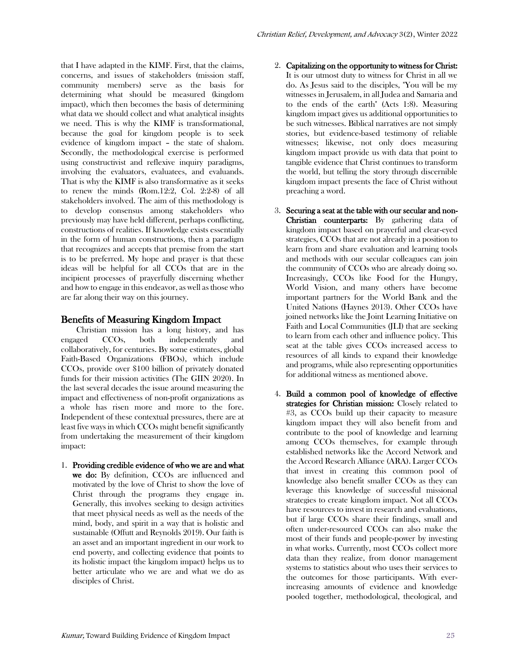that I have adapted in the KIMF. First, that the claims, concerns, and issues of stakeholders (mission staff, community members) serve as the basis for determining what should be measured (kingdom impact), which then becomes the basis of determining what data we should collect and what analytical insights we need. This is why the KIMF is transformational, because the goal for kingdom people is to seek evidence of kingdom impact – the state of shalom. Secondly, the methodological exercise is performed using constructivist and reflexive inquiry paradigms, involving the evaluators, evaluatees, and evaluands. That is why the KIMF is also transformative as it seeks to renew the minds (Rom.12:2, Col. 2:2-8) of all stakeholders involved. The aim of this methodology is to develop consensus among stakeholders who previously may have held different, perhaps conflicting, constructions of realities. If knowledge exists essentially in the form of human constructions, then a paradigm that recognizes and accepts that premise from the start is to be preferred. My hope and prayer is that these ideas will be helpful for all CCOs that are in the incipient processes of prayerfully discerning whether and how to engage in this endeavor, as well as those who are far along their way on this journey.

# Benefits of Measuring Kingdom Impact

Christian mission has a long history, and has engaged CCOs, both independently and collaboratively, for centuries. By some estimates, global Faith-Based Organizations (FBOs), which include CCOs, provide over \$100 billion of privately donated funds for their mission activities (The GIIN 2020). In the last several decades the issue around measuring the impact and effectiveness of non-profit organizations as a whole has risen more and more to the fore. Independent of these contextual pressures, there are at least five ways in which CCOs might benefit significantly from undertaking the measurement of their kingdom impact:

1. Providing credible evidence of who we are and what we do: By definition, CCOs are influenced and motivated by the love of Christ to show the love of Christ through the programs they engage in. Generally, this involves seeking to design activities that meet physical needs as well as the needs of the mind, body, and spirit in a way that is holistic and sustainable (Offutt and Reynolds 2019). Our faith is an asset and an important ingredient in our work to end poverty, and collecting evidence that points to its holistic impact (the kingdom impact) helps us to better articulate who we are and what we do as disciples of Christ.

- 2. Capitalizing on the opportunity to witness for Christ: It is our utmost duty to witness for Christ in all we do. As Jesus said to the disciples, "You will be my witnesses in Jerusalem, in all Judea and Samaria and to the ends of the earth" (Acts 1:8). Measuring kingdom impact gives us additional opportunities to be such witnesses. Biblical narratives are not simply stories, but evidence-based testimony of reliable witnesses; likewise, not only does measuring kingdom impact provide us with data that point to tangible evidence that Christ continues to transform the world, but telling the story through discernible kingdom impact presents the face of Christ without preaching a word.
- 3. Securing a seat at the table with our secular and non-Christian counterparts: By gathering data of kingdom impact based on prayerful and clear-eyed strategies, CCOs that are not already in a position to learn from and share evaluation and learning tools and methods with our secular colleagues can join the community of CCOs who are already doing so. Increasingly, CCOs like Food for the Hungry, World Vision, and many others have become important partners for the World Bank and the United Nations (Haynes 2013). Other CCOs have joined networks like the Joint Learning Initiative on Faith and Local Communities (JLI) that are seeking to learn from each other and influence policy. This seat at the table gives CCOs increased access to resources of all kinds to expand their knowledge and programs, while also representing opportunities for additional witness as mentioned above.
- 4. Build a common pool of knowledge of effective strategies for Christian mission: Closely related to #3, as CCOs build up their capacity to measure kingdom impact they will also benefit from and contribute to the pool of knowledge and learning among CCOs themselves, for example through established networks like the Accord Network and the Accord Research Alliance (ARA). Larger CCOs that invest in creating this common pool of knowledge also benefit smaller CCOs as they can leverage this knowledge of successful missional strategies to create kingdom impact. Not all CCOs have resources to invest in research and evaluations, but if large CCOs share their findings, small and often under-resourced CCOs can also make the most of their funds and people-power by investing in what works. Currently, most CCOs collect more data than they realize, from donor management systems to statistics about who uses their services to the outcomes for those participants. With everincreasing amounts of evidence and knowledge pooled together, methodological, theological, and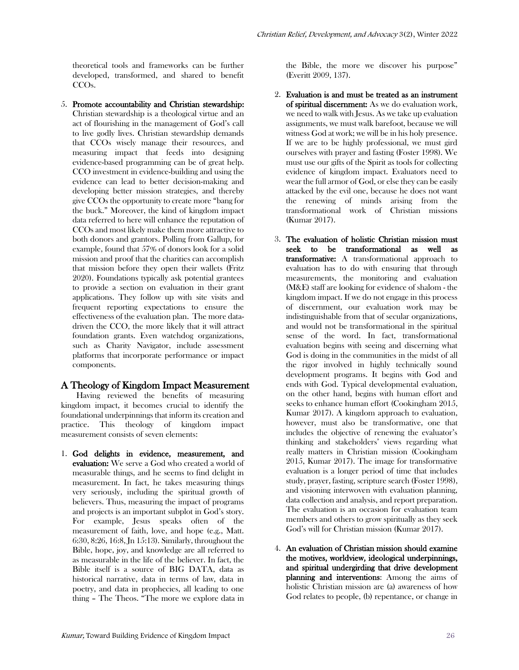theoretical tools and frameworks can be further developed, transformed, and shared to benefit CCOs.

5. Promote accountability and Christian stewardship: Christian stewardship is a theological virtue and an act of flourishing in the management of God's call to live godly lives. Christian stewardship demands that CCOs wisely manage their resources, and measuring impact that feeds into designing evidence-based programming can be of great help. CCO investment in evidence-building and using the evidence can lead to better decision-making and developing better mission strategies, and thereby give CCOs the opportunity to create more "bang for the buck." Moreover, the kind of kingdom impact data referred to here will enhance the reputation of CCOs and most likely make them more attractive to both donors and grantors. Polling from Gallup, for example, found that 57% of donors look for a solid mission and proof that the charities can accomplish that mission before they open their wallets (Fritz 2020). Foundations typically ask potential grantees to provide a section on evaluation in their grant applications. They follow up with site visits and frequent reporting expectations to ensure the effectiveness of the evaluation plan. The more datadriven the CCO, the more likely that it will attract foundation grants. Even watchdog organizations, such as Charity Navigator, include assessment platforms that incorporate performance or impact components.

## A Theology of Kingdom Impact Measurement

Having reviewed the benefits of measuring kingdom impact, it becomes crucial to identify the foundational underpinnings that inform its creation and practice. This theology of kingdom impact measurement consists of seven elements:

1. God delights in evidence, measurement, and evaluation: We serve a God who created a world of measurable things, and he seems to find delight in measurement. In fact, he takes measuring things very seriously, including the spiritual growth of believers. Thus, measuring the impact of programs and projects is an important subplot in God's story. For example, Jesus speaks often of the measurement of faith, love, and hope (e.g., Matt. 6:30, 8:26, 16:8, Jn 15:13). Similarly, throughout the Bible, hope, joy, and knowledge are all referred to as measurable in the life of the believer. In fact, the Bible itself is a source of BIG DATA, data as historical narrative, data in terms of law, data in poetry, and data in prophecies, all leading to one thing – The Theos. "The more we explore data in the Bible, the more we discover his purpose" (Everitt 2009, 137).

- 2. Evaluation is and must be treated as an instrument of spiritual discernment: As we do evaluation work, we need to walk with Jesus. As we take up evaluation assignments, we must walk barefoot, because we will witness God at work; we will be in his holy presence. If we are to be highly professional, we must gird ourselves with prayer and fasting (Foster 1998). We must use our gifts of the Spirit as tools for collecting evidence of kingdom impact. Evaluators need to wear the full armor of God, or else they can be easily attacked by the evil one, because he does not want the renewing of minds arising from the transformational work of Christian missions (Kumar 2017).
- 3. The evaluation of holistic Christian mission must seek to be transformational as well as transformative: A transformational approach to evaluation has to do with ensuring that through measurements, the monitoring and evaluation (M&E) staff are looking for evidence of shalom - the kingdom impact. If we do not engage in this process of discernment, our evaluation work may be indistinguishable from that of secular organizations, and would not be transformational in the spiritual sense of the word. In fact, transformational evaluation begins with seeing and discerning what God is doing in the communities in the midst of all the rigor involved in highly technically sound development programs. It begins with God and ends with God. Typical developmental evaluation, on the other hand, begins with human effort and seeks to enhance human effort (Cookingham 2015, Kumar 2017). A kingdom approach to evaluation, however, must also be transformative, one that includes the objective of renewing the evaluator's thinking and stakeholders' views regarding what really matters in Christian mission (Cookingham 2015, Kumar 2017). The image for transformative evaluation is a longer period of time that includes study, prayer, fasting, scripture search (Foster 1998), and visioning interwoven with evaluation planning, data collection and analysis, and report preparation. The evaluation is an occasion for evaluation team members and others to grow spiritually as they seek God's will for Christian mission (Kumar 2017).
- 4. An evaluation of Christian mission should examine the motives, worldview, ideological underpinnings, and spiritual undergirding that drive development planning and interventions: Among the aims of holistic Christian mission are (a) awareness of how God relates to people, (b) repentance, or change in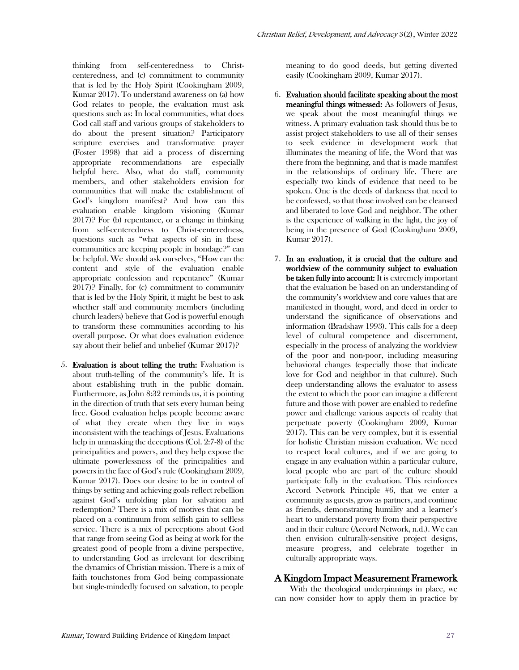thinking from self-centeredness to Christcenteredness, and (c) commitment to community that is led by the Holy Spirit (Cookingham 2009, Kumar 2017). To understand awareness on (a) how God relates to people, the evaluation must ask questions such as: In local communities, what does God call staff and various groups of stakeholders to do about the present situation? Participatory scripture exercises and transformative prayer (Foster 1998) that aid a process of discerning appropriate recommendations are especially helpful here. Also, what do staff, community members, and other stakeholders envision for communities that will make the establishment of God's kingdom manifest? And how can this evaluation enable kingdom visioning (Kumar 2017)? For (b) repentance, or a change in thinking from self-centeredness to Christ-centeredness, questions such as "what aspects of sin in these communities are keeping people in bondage?" can be helpful. We should ask ourselves, "How can the content and style of the evaluation enable appropriate confession and repentance" (Kumar 2017)? Finally, for (c) commitment to community that is led by the Holy Spirit, it might be best to ask whether staff and community members (including church leaders) believe that God is powerful enough to transform these communities according to his overall purpose. Or what does evaluation evidence say about their belief and unbelief (Kumar 2017)?

5. Evaluation is about telling the truth: Evaluation is about truth-telling of the community's life. It is about establishing truth in the public domain. Furthermore, as John 8:32 reminds us, it is pointing in the direction of truth that sets every human being free. Good evaluation helps people become aware of what they create when they live in ways inconsistent with the teachings of Jesus. Evaluations help in unmasking the deceptions (Col. 2:7-8) of the principalities and powers, and they help expose the ultimate powerlessness of the principalities and powers in the face of God's rule (Cookingham 2009, Kumar 2017). Does our desire to be in control of things by setting and achieving goals reflect rebellion against God's unfolding plan for salvation and redemption? There is a mix of motives that can be placed on a continuum from selfish gain to selfless service. There is a mix of perceptions about God that range from seeing God as being at work for the greatest good of people from a divine perspective, to understanding God as irrelevant for describing the dynamics of Christian mission. There is a mix of faith touchstones from God being compassionate but single-mindedly focused on salvation, to people

meaning to do good deeds, but getting diverted easily (Cookingham 2009, Kumar 2017).

- 6. Evaluation should facilitate speaking about the most meaningful things witnessed: As followers of Jesus, we speak about the most meaningful things we witness. A primary evaluation task should thus be to assist project stakeholders to use all of their senses to seek evidence in development work that illuminates the meaning of life, the Word that was there from the beginning, and that is made manifest in the relationships of ordinary life. There are especially two kinds of evidence that need to be spoken. One is the deeds of darkness that need to be confessed, so that those involved can be cleansed and liberated to love God and neighbor. The other is the experience of walking in the light, the joy of being in the presence of God (Cookingham 2009, Kumar 2017).
- 7. In an evaluation, it is crucial that the culture and worldview of the community subject to evaluation be taken fully into account: It is extremely important that the evaluation be based on an understanding of the community's worldview and core values that are manifested in thought, word, and deed in order to understand the significance of observations and information (Bradshaw 1993). This calls for a deep level of cultural competence and discernment, especially in the process of analyzing the worldview of the poor and non-poor, including measuring behavioral changes (especially those that indicate love for God and neighbor in that culture). Such deep understanding allows the evaluator to assess the extent to which the poor can imagine a different future and those with power are enabled to redefine power and challenge various aspects of reality that perpetuate poverty (Cookingham 2009, Kumar 2017). This can be very complex, but it is essential for holistic Christian mission evaluation. We need to respect local cultures, and if we are going to engage in any evaluation within a particular culture, local people who are part of the culture should participate fully in the evaluation. This reinforces Accord Network Principle #6, that we enter a community as guests, grow as partners, and continue as friends, demonstrating humility and a learner's heart to understand poverty from their perspective and in their culture (Accord Network, n.d.). We can then envision culturally-sensitive project designs, measure progress, and celebrate together in culturally appropriate ways.

# A Kingdom Impact Measurement Framework

With the theological underpinnings in place, we can now consider how to apply them in practice by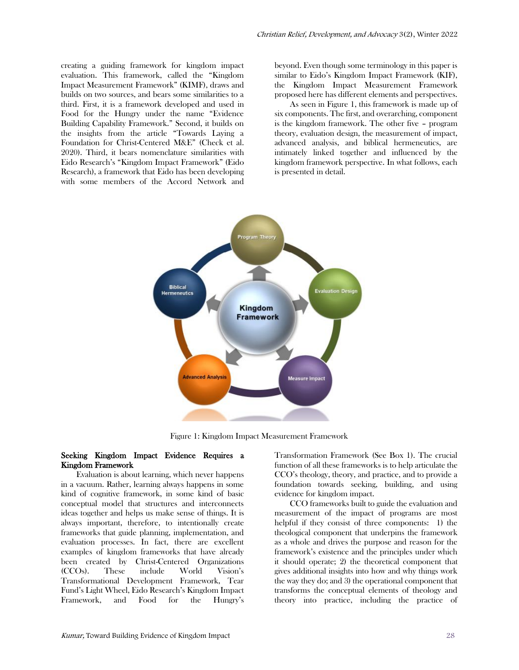creating a guiding framework for kingdom impact evaluation. This framework, called the "Kingdom Impact Measurement Framework" (KIMF), draws and builds on two sources, and bears some similarities to a third. First, it is a framework developed and used in Food for the Hungry under the name "Evidence Building Capability Framework." Second, it builds on the insights from the article "Towards Laying a Foundation for Christ-Centered M&E" (Check et al. 2020). Third, it bears nomenclature similarities with Eido Research's "Kingdom Impact Framework" (Eido Research), a framework that Eido has been developing with some members of the Accord Network and

beyond. Even though some terminology in this paper is similar to Eido's Kingdom Impact Framework (KIF), the Kingdom Impact Measurement Framework proposed here has different elements and perspectives.

As seen in Figure 1, this framework is made up of six components. The first, and overarching, component is the kingdom framework. The other five – program theory, evaluation design, the measurement of impact, advanced analysis, and biblical hermeneutics, are intimately linked together and influenced by the kingdom framework perspective. In what follows, each is presented in detail.



Figure 1: Kingdom Impact Measurement Framework

#### Seeking Kingdom Impact Evidence Requires a Kingdom Framework

Evaluation is about learning, which never happens in a vacuum. Rather, learning always happens in some kind of cognitive framework, in some kind of basic conceptual model that structures and interconnects ideas together and helps us make sense of things. It is always important, therefore, to intentionally create frameworks that guide planning, implementation, and evaluation processes. In fact, there are excellent examples of kingdom frameworks that have already been created by Christ-Centered Organizations (CCOs). These include World Vision's Transformational Development Framework, Tear Fund's Light Wheel, Eido Research's Kingdom Impact Framework, and Food for the Hungry's

Transformation Framework (See Box 1). The crucial function of all these frameworks is to help articulate the CCO's theology, theory, and practice, and to provide a foundation towards seeking, building, and using evidence for kingdom impact.

CCO frameworks built to guide the evaluation and measurement of the impact of programs are most helpful if they consist of three components: 1) the theological component that underpins the framework as a whole and drives the purpose and reason for the framework's existence and the principles under which it should operate; 2) the theoretical component that gives additional insights into how and why things work the way they do; and 3) the operational component that transforms the conceptual elements of theology and theory into practice, including the practice of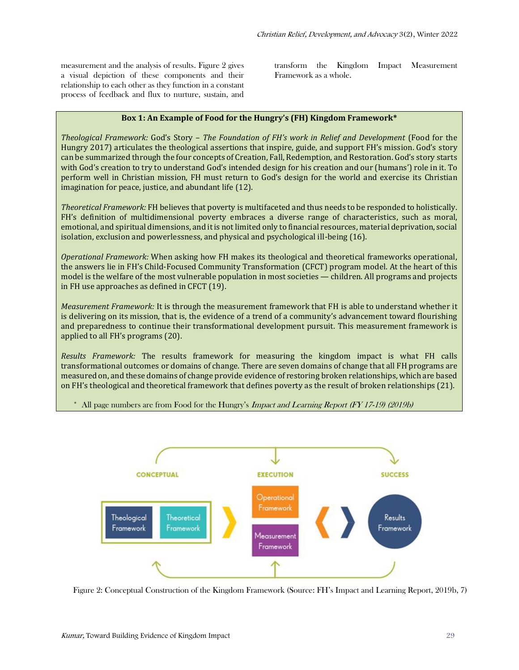measurement and the analysis of results. Figure 2 gives a visual depiction of these components and their relationship to each other as they function in a constant process of feedback and flux to nurture, sustain, and transform the Kingdom Impact Measurement Framework as a whole.

#### **Box 1: An Example of Food for the Hungry's (FH) Kingdom Framework\***

*Theological Framework:* God's Story – *The Foundation of FH's work in Relief and Development* (Food for the Hungry 2017) articulates the theological assertions that inspire, guide, and support FH's mission. God's story can be summarized through the four concepts of Creation, Fall, Redemption, and Restoration. God's story starts with God's creation to try to understand God's intended design for his creation and our (humans') role in it. To perform well in Christian mission, FH must return to God's design for the world and exercise its Christian imagination for peace, justice, and abundant life (12).

*Theoretical Framework:* FH believes that poverty is multifaceted and thus needs to be responded to holistically. FH's definition of multidimensional poverty embraces a diverse range of characteristics, such as moral, emotional, and spiritual dimensions, and it is not limited only to financial resources, material deprivation, social isolation, exclusion and powerlessness, and physical and psychological ill-being (16).

*Operational Framework:* When asking how FH makes its theological and theoretical frameworks operational, the answers lie in FH's Child-Focused Community Transformation (CFCT) program model. At the heart of this model is the welfare of the most vulnerable population in most societies — children. All programs and projects in FH use approaches as defined in CFCT (19).

*Measurement Framework:* It is through the measurement framework that FH is able to understand whether it is delivering on its mission, that is, the evidence of a trend of a community's advancement toward flourishing and preparedness to continue their transformational development pursuit. This measurement framework is applied to all FH's programs (20).

*Results Framework:* The results framework for measuring the kingdom impact is what FH calls transformational outcomes or domains of change. There are seven domains of change that all FH programs are measured on, and these domains of change provide evidence of restoring broken relationships, which are based on FH's theological and theoretical framework that defines poverty as the result of broken relationships (21).



\* All page numbers are from Food for the Hungry's Impact and Learning Report (FY 17-19) (2019b)

Figure 2: Conceptual Construction of the Kingdom Framework (Source: FH's Impact and Learning Report, 2019b, 7)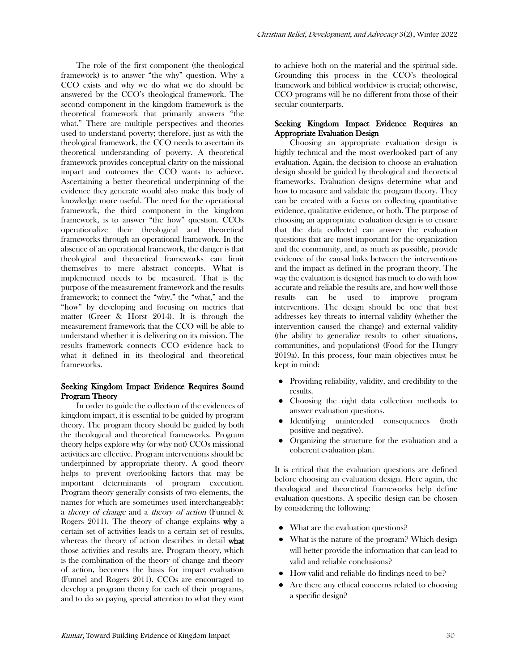The role of the first component (the theological framework) is to answer "the why" question. Why a CCO exists and why we do what we do should be answered by the CCO's theological framework. The second component in the kingdom framework is the theoretical framework that primarily answers "the what." There are multiple perspectives and theories used to understand poverty; therefore, just as with the theological framework, the CCO needs to ascertain its theoretical understanding of poverty. A theoretical framework provides conceptual clarity on the missional impact and outcomes the CCO wants to achieve. Ascertaining a better theoretical underpinning of the evidence they generate would also make this body of knowledge more useful. The need for the operational framework, the third component in the kingdom framework, is to answer "the how" question. CCOs operationalize their theological and theoretical frameworks through an operational framework. In the absence of an operational framework, the danger is that theological and theoretical frameworks can limit themselves to mere abstract concepts. What is implemented needs to be measured. That is the purpose of the measurement framework and the results framework; to connect the "why," the "what," and the "how" by developing and focusing on metrics that matter (Greer & Horst 2014). It is through the measurement framework that the CCO will be able to understand whether it is delivering on its mission. The results framework connects CCO evidence back to what it defined in its theological and theoretical frameworks.

#### Seeking Kingdom Impact Evidence Requires Sound Program Theory

In order to guide the collection of the evidences of kingdom impact, it is essential to be guided by program theory. The program theory should be guided by both the theological and theoretical frameworks. Program theory helps explore why (or why not) CCOs missional activities are effective. Program interventions should be underpinned by appropriate theory. A good theory helps to prevent overlooking factors that may be important determinants of program execution. Program theory generally consists of two elements, the names for which are sometimes used interchangeably: a theory of change and a theory of action (Funnel & Rogers 2011). The theory of change explains why a certain set of activities leads to a certain set of results, whereas the theory of action describes in detail what those activities and results are. Program theory, which is the combination of the theory of change and theory of action, becomes the basis for impact evaluation (Funnel and Rogers 2011). CCOs are encouraged to develop a program theory for each of their programs, and to do so paying special attention to what they want

to achieve both on the material and the spiritual side. Grounding this process in the CCO's theological framework and biblical worldview is crucial; otherwise, CCO programs will be no different from those of their secular counterparts.

#### Seeking Kingdom Impact Evidence Requires an Appropriate Evaluation Design

Choosing an appropriate evaluation design is highly technical and the most overlooked part of any evaluation. Again, the decision to choose an evaluation design should be guided by theological and theoretical frameworks. Evaluation designs determine what and how to measure and validate the program theory. They can be created with a focus on collecting quantitative evidence, qualitative evidence, or both. The purpose of choosing an appropriate evaluation design is to ensure that the data collected can answer the evaluation questions that are most important for the organization and the community, and, as much as possible, provide evidence of the causal links between the interventions and the impact as defined in the program theory. The way the evaluation is designed has much to do with how accurate and reliable the results are, and how well those results can be used to improve program interventions. The design should be one that best addresses key threats to internal validity (whether the intervention caused the change) and external validity (the ability to generalize results to other situations, communities, and populations) (Food for the Hungry 2019a). In this process, four main objectives must be kept in mind:

- Providing reliability, validity, and credibility to the results.
- Choosing the right data collection methods to answer evaluation questions.
- Identifying unintended consequences (both positive and negative).
- Organizing the structure for the evaluation and a coherent evaluation plan.

It is critical that the evaluation questions are defined before choosing an evaluation design. Here again, the theological and theoretical frameworks help define evaluation questions. A specific design can be chosen by considering the following:

- What are the evaluation questions?
- What is the nature of the program? Which design will better provide the information that can lead to valid and reliable conclusions?
- How valid and reliable do findings need to be?
- Are there any ethical concerns related to choosing a specific design?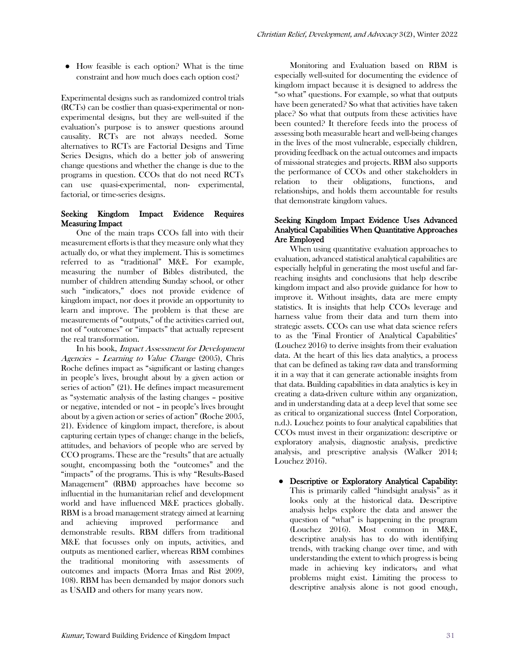● How feasible is each option? What is the time constraint and how much does each option cost?

Experimental designs such as randomized control trials (RCTs) can be costlier than quasi-experimental or nonexperimental designs, but they are well-suited if the evaluation's purpose is to answer questions around causality. RCTs are not always needed. Some alternatives to RCTs are Factorial Designs and Time Series Designs, which do a better job of answering change questions and whether the change is due to the programs in question. CCOs that do not need RCTs can use quasi-experimental, non- experimental, factorial, or time-series designs.

## Seeking Kingdom Impact Evidence Requires Measuring Impact

One of the main traps CCOs fall into with their measurement efforts is that they measure only what they actually do, or what they implement. This is sometimes referred to as "traditional" M&E. For example, measuring the number of Bibles distributed, the number of children attending Sunday school, or other such "indicators," does not provide evidence of kingdom impact, nor does it provide an opportunity to learn and improve. The problem is that these are measurements of "outputs," of the activities carried out, not of "outcomes" or "impacts" that actually represent the real transformation.

In his book, Impact Assessment for Development Agencies – Learning to Value Change (2005), Chris Roche defines impact as "significant or lasting changes in people's lives, brought about by a given action or series of action" (21). He defines impact measurement as "systematic analysis of the lasting changes – positive or negative, intended or not – in people's lives brought about by a given action or series of action" (Roche 2005, 21). Evidence of kingdom impact, therefore, is about capturing certain types of change: change in the beliefs, attitudes, and behaviors of people who are served by CCO programs. These are the "results" that are actually sought, encompassing both the "outcomes" and the "impacts" of the programs. This is why "Results-Based Management" (RBM) approaches have become so influential in the humanitarian relief and development world and have influenced M&E practices globally. RBM is a broad management strategy aimed at learning and achieving improved performance and demonstrable results. RBM differs from traditional M&E that focusses only on inputs, activities, and outputs as mentioned earlier, whereas RBM combines the traditional monitoring with assessments of outcomes and impacts (Morra Imas and Rist 2009, 108). RBM has been demanded by major donors such as USAID and others for many years now.

Monitoring and Evaluation based on RBM is especially well-suited for documenting the evidence of kingdom impact because it is designed to address the "so what" questions. For example, so what that outputs have been generated? So what that activities have taken place? So what that outputs from these activities have been counted? It therefore feeds into the process of assessing both measurable heart and well-being changes in the lives of the most vulnerable, especially children, providing feedback on the actual outcomes and impacts of missional strategies and projects. RBM also supports the performance of CCOs and other stakeholders in relation to their obligations, functions, and relationships, and holds them accountable for results that demonstrate kingdom values.

### Seeking Kingdom Impact Evidence Uses Advanced Analytical Capabilities When Quantitative Approaches Are Employed

When using quantitative evaluation approaches to evaluation, advanced statistical analytical capabilities are especially helpful in generating the most useful and farreaching insights and conclusions that help describe kingdom impact and also provide guidance for how to improve it. Without insights, data are mere empty statistics. It is insights that help CCOs leverage and harness value from their data and turn them into strategic assets. CCOs can use what data science refers to as the "Final Frontier of Analytical Capabilities" (Louchez 2016) to derive insights from their evaluation data. At the heart of this lies data analytics, a process that can be defined as taking raw data and transforming it in a way that it can generate actionable insights from that data. Building capabilities in data analytics is key in creating a data-driven culture within any organization, and in understanding data at a deep level that some see as critical to organizational success (Intel Corporation, n.d.). Louchez points to four analytical capabilities that CCOs must invest in their organization: descriptive or exploratory analysis, diagnostic analysis, predictive analysis, and prescriptive analysis (Walker 2014; Louchez 2016).

● Descriptive or Exploratory Analytical Capability: This is primarily called "hindsight analysis" as it looks only at the historical data. Descriptive analysis helps explore the data and answer the question of "what" is happening in the program (Louchez 2016). Most common in M&E, descriptive analysis has to do with identifying trends, with tracking change over time, and with understanding the extent to which progress is being made in achieving key indicators, and what problems might exist. Limiting the process to descriptive analysis alone is not good enough,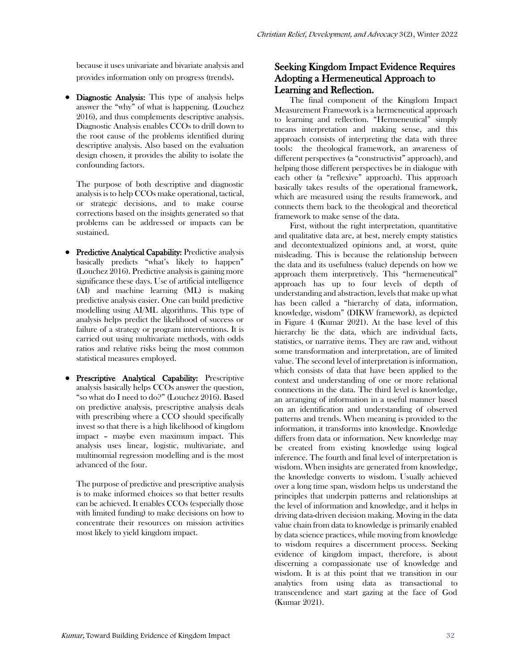because it uses univariate and bivariate analysis and provides information only on progress (trends).

● Diagnostic Analysis: This type of analysis helps answer the "why" of what is happening. (Louchez 2016), and thus complements descriptive analysis. Diagnostic Analysis enables CCOs to drill down to the root cause of the problems identified during descriptive analysis. Also based on the evaluation design chosen, it provides the ability to isolate the confounding factors.

The purpose of both descriptive and diagnostic analysis is to help CCOs make operational, tactical, or strategic decisions, and to make course corrections based on the insights generated so that problems can be addressed or impacts can be sustained.

- Predictive Analytical Capability: Predictive analysis basically predicts "what's likely to happen" (Louchez 2016). Predictive analysis is gaining more significance these days. Use of artificial intelligence (AI) and machine learning (ML) is making predictive analysis easier. One can build predictive modelling using AI/ML algorithms. This type of analysis helps predict the likelihood of success or failure of a strategy or program interventions. It is carried out using multivariate methods, with odds ratios and relative risks being the most common statistical measures employed.
- Prescriptive Analytical Capability: Prescriptive analysis basically helps CCOs answer the question, "so what do I need to do?" (Louchez 2016). Based on predictive analysis, prescriptive analysis deals with prescribing where a CCO should specifically invest so that there is a high likelihood of kingdom impact – maybe even maximum impact. This analysis uses linear, logistic, multivariate, and multinomial regression modelling and is the most advanced of the four.

The purpose of predictive and prescriptive analysis is to make informed choices so that better results can be achieved. It enables CCOs (especially those with limited funding) to make decisions on how to concentrate their resources on mission activities most likely to yield kingdom impact.

# Seeking Kingdom Impact Evidence Requires Adopting a Hermeneutical Approach to Learning and Reflection.

The final component of the Kingdom Impact Measurement Framework is a hermeneutical approach to learning and reflection. "Hermeneutical" simply means interpretation and making sense, and this approach consists of interpreting the data with three tools: the theological framework, an awareness of different perspectives (a "constructivist" approach), and helping those different perspectives be in dialogue with each other (a "reflexive" approach). This approach basically takes results of the operational framework, which are measured using the results framework, and connects them back to the theological and theoretical framework to make sense of the data.

First, without the right interpretation, quantitative and qualitative data are, at best, merely empty statistics and decontextualized opinions and, at worst, quite misleading. This is because the relationship between the data and its usefulness (value) depends on how we approach them interpretively. This "hermeneutical" approach has up to four levels of depth of understanding and abstraction, levels that make up what has been called a "hierarchy of data, information, knowledge, wisdom" (DIKW framework), as depicted in Figure 4 (Kumar 2021). At the base level of this hierarchy lie the data, which are individual facts, statistics, or narrative items. They are raw and, without some transformation and interpretation, are of limited value. The second level of interpretation is information, which consists of data that have been applied to the context and understanding of one or more relational connections in the data. The third level is knowledge, an arranging of information in a useful manner based on an identification and understanding of observed patterns and trends. When meaning is provided to the information, it transforms into knowledge. Knowledge differs from data or information. New knowledge may be created from existing knowledge using logical inference. The fourth and final level of interpretation is wisdom. When insights are generated from knowledge, the knowledge converts to wisdom. Usually achieved over a long time span, wisdom helps us understand the principles that underpin patterns and relationships at the level of information and knowledge, and it helps in driving data-driven decision making. Moving in the data value chain from data to knowledge is primarily enabled by data science practices, while moving from knowledge to wisdom requires a discernment process. Seeking evidence of kingdom impact, therefore, is about discerning a compassionate use of knowledge and wisdom. It is at this point that we transition in our analytics from using data as transactional to transcendence and start gazing at the face of God (Kumar 2021).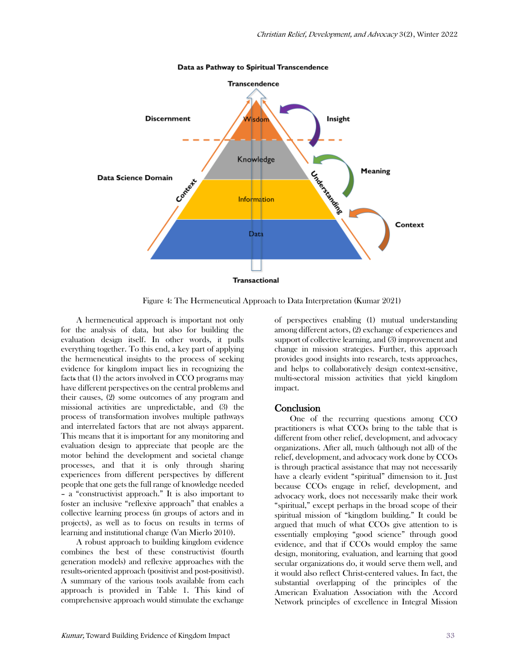

Data as Pathway to Spiritual Transcendence

Figure 4: The Hermeneutical Approach to Data Interpretation (Kumar 2021)

A hermeneutical approach is important not only for the analysis of data, but also for building the evaluation design itself. In other words, it pulls everything together. To this end, a key part of applying the hermeneutical insights to the process of seeking evidence for kingdom impact lies in recognizing the facts that (1) the actors involved in CCO programs may have different perspectives on the central problems and their causes, (2) some outcomes of any program and missional activities are unpredictable, and (3) the process of transformation involves multiple pathways and interrelated factors that are not always apparent. This means that it is important for any monitoring and evaluation design to appreciate that people are the motor behind the development and societal change processes, and that it is only through sharing experiences from different perspectives by different people that one gets the full range of knowledge needed – a "constructivist approach." It is also important to foster an inclusive "reflexive approach" that enables a collective learning process (in groups of actors and in projects), as well as to focus on results in terms of learning and institutional change (Van Mierlo 2010).

A robust approach to building kingdom evidence combines the best of these constructivist (fourth generation models) and reflexive approaches with the results-oriented approach (positivist and post-positivist). A summary of the various tools available from each approach is provided in Table 1. This kind of comprehensive approach would stimulate the exchange

of perspectives enabling (1) mutual understanding among different actors, (2) exchange of experiences and support of collective learning, and (3) improvement and change in mission strategies. Further, this approach provides good insights into research, tests approaches, and helps to collaboratively design context-sensitive, multi-sectoral mission activities that yield kingdom impact.

#### Conclusion

One of the recurring questions among CCO practitioners is what CCOs bring to the table that is different from other relief, development, and advocacy organizations. After all, much (although not all) of the relief, development, and advocacy work done by CCOs is through practical assistance that may not necessarily have a clearly evident "spiritual" dimension to it. Just because CCOs engage in relief, development, and advocacy work, does not necessarily make their work "spiritual," except perhaps in the broad scope of their spiritual mission of "kingdom building." It could be argued that much of what CCOs give attention to is essentially employing "good science" through good evidence, and that if CCOs would employ the same design, monitoring, evaluation, and learning that good secular organizations do, it would serve them well, and it would also reflect Christ-centered values. In fact, the substantial overlapping of the principles of the American Evaluation Association with the Accord Network principles of excellence in Integral Mission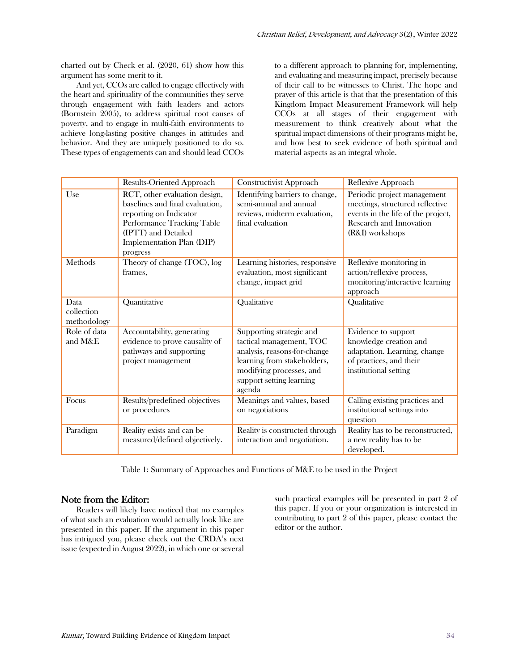charted out by Check et al. (2020, 61) show how this argument has some merit to it.

And yet, CCOs are called to engage effectively with the heart and spirituality of the communities they serve through engagement with faith leaders and actors (Bornstein 2005), to address spiritual root causes of poverty, and to engage in multi-faith environments to achieve long-lasting positive changes in attitudes and behavior. And they are uniquely positioned to do so. These types of engagements can and should lead CCOs

to a different approach to planning for, implementing, and evaluating and measuring impact, precisely because of their call to be witnesses to Christ. The hope and prayer of this article is that that the presentation of this Kingdom Impact Measurement Framework will help CCOs at all stages of their engagement with measurement to think creatively about what the spiritual impact dimensions of their programs might be, and how best to seek evidence of both spiritual and material aspects as an integral whole.

|                                   | Results-Oriented Approach                                                                                                                                                                | Constructivist Approach                                                                                                                                                               | Reflexive Approach                                                                                                                                 |
|-----------------------------------|------------------------------------------------------------------------------------------------------------------------------------------------------------------------------------------|---------------------------------------------------------------------------------------------------------------------------------------------------------------------------------------|----------------------------------------------------------------------------------------------------------------------------------------------------|
| Use                               | RCT, other evaluation design,<br>baselines and final evaluation,<br>reporting on Indicator<br>Performance Tracking Table<br>(IPTT) and Detailed<br>Implementation Plan (DIP)<br>progress | Identifying barriers to change,<br>semi-annual and annual<br>reviews, midterm evaluation,<br>final evaluation                                                                         | Periodic project management<br>meetings, structured reflective<br>events in the life of the project,<br>Research and Innovation<br>(R&I) workshops |
| Methods                           | Theory of change (TOC), log<br>frames.                                                                                                                                                   | Learning histories, responsive<br>evaluation, most significant<br>change, impact grid                                                                                                 | Reflexive monitoring in<br>action/reflexive process,<br>monitoring/interactive learning<br>approach                                                |
| Data<br>collection<br>methodology | Quantitative                                                                                                                                                                             | Qualitative                                                                                                                                                                           | Qualitative                                                                                                                                        |
| Role of data<br>and M&E           | Accountability, generating<br>evidence to prove causality of<br>pathways and supporting<br>project management                                                                            | Supporting strategic and<br>tactical management, TOC<br>analysis, reasons-for-change<br>learning from stakeholders,<br>modifying processes, and<br>support setting learning<br>agenda | Evidence to support<br>knowledge creation and<br>adaptation. Learning, change<br>of practices, and their<br>institutional setting                  |
| Focus                             | Results/predefined objectives<br>or procedures                                                                                                                                           | Meanings and values, based<br>on negotiations                                                                                                                                         | Calling existing practices and<br>institutional settings into<br>question                                                                          |
| Paradigm                          | Reality exists and can be<br>measured/defined objectively.                                                                                                                               | Reality is constructed through<br>interaction and negotiation.                                                                                                                        | Reality has to be reconstructed,<br>a new reality has to be<br>developed.                                                                          |

Table 1: Summary of Approaches and Functions of M&E to be used in the Project

## Note from the Editor:

Readers will likely have noticed that no examples of what such an evaluation would actually look like are presented in this paper. If the argument in this paper has intrigued you, please check out the CRDA's next issue (expected in August 2022), in which one or several

such practical examples will be presented in part 2 of this paper. If you or your organization is interested in contributing to part 2 of this paper, please contact the editor or the author.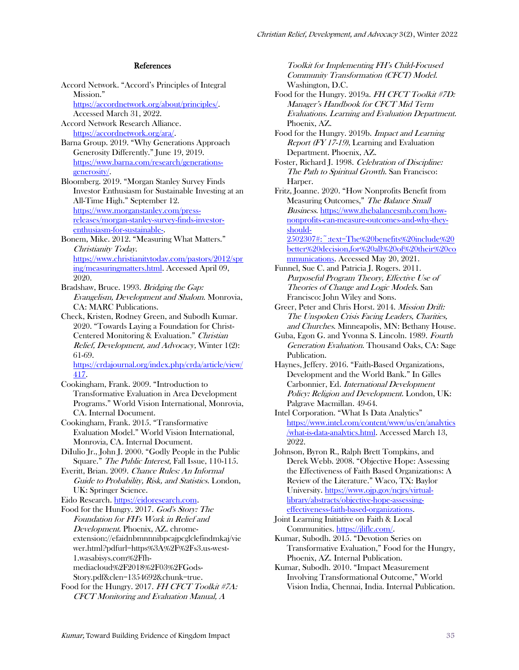#### References

Accord Network. "Accord's Principles of Integral Mission." [https://accordnetwork.org/about/principles/.](about:blank) Accessed March 31, 2022. Accord Network Research Alliance. [https://accordnetwork.org/ara/.](about:blank) Barna Group. 2019. "Why Generations Approach Generosity Differently." June 19, 2019. [https://www.barna.com/research/generations](about:blank)[generosity/.](about:blank) Bloomberg. 2019. "Morgan Stanley Survey Finds Investor Enthusiasm for Sustainable Investing at an All-Time High." September 12. [https://www.morganstanley.com/press](about:blank)[releases/morgan-stanley-survey-finds-investor](about:blank)[enthusiasm-for-sustainable-.](about:blank)

Bonem, Mike. 2012. "Measuring What Matters." Christianity Today. [https://www.christianitytoday.com/pastors/2012/spr](about:blank) [ing/measuringmatters.html.](about:blank) Accessed April 09, 2020.

Bradshaw, Bruce. 1993. Bridging the Gap: Evangelism, Development and Shalom. Monrovia, CA: MARC Publications.

Check, Kristen, Rodney Green, and Subodh Kumar. 2020. "Towards Laying a Foundation for Christ-Centered Monitoring & Evaluation." Christian Relief, Development, and Advocacy, Winter 1(2): 61-69.

[https://crdajournal.org/index.php/crda/article/view/](about:blank) [417.](about:blank)

Cookingham, Frank. 2009. "Introduction to Transformative Evaluation in Area Development Programs." World Vision International, Monrovia, CA. Internal Document.

Cookingham, Frank. 2015. "Transformative Evaluation Model." World Vision International, Monrovia, CA. Internal Document.

DiIulio Jr., John J. 2000. "Godly People in the Public Square." The Public Interest, Fall Issue, 110-115.

Everitt, Brian. 2009. Chance Rules: An Informal Guide to Probability, Risk, and Statistics. London, UK: Springer Science.

Eido Research[. https://eidoresearch.com.](about:blank) 

Food for the Hungry. 2017. God's Story: The Foundation for FH's Work in Relief and Development. Phoenix, AZ. chromeextension://efaidnbmnnnibpcajpcglclefindmkaj/vie wer.html?pdfurl=https%3A%2F%2Fs3.us-west-1.wasabisys.com%2Ffhmediacloud%2F2018%2F03%2FGods-Story.pdf&clen=1354692&chunk=true.

Food for the Hungry. 2017. FH CFCT Toolkit #7A: CFCT Monitoring and Evaluation Manual, A

Toolkit for Implementing FH's Child-Focused Community Transformation (CFCT) Model. Washington, D.C.

Food for the Hungry. 2019a. FH CFCT Toolkit #7D: Manager's Handbook for CFCT Mid Term Evaluations. Learning and Evaluation Department. Phoenix, AZ.

Food for the Hungry. 2019b. Impact and Learning Report (FY 17-19), Learning and Evaluation Department. Phoenix, AZ.

Foster, Richard J. 1998. Celebration of Discipline: The Path to Spiritual Growth. San Francisco: Harper.

Fritz, Joanne. 2020. "How Nonprofits Benefit from Measuring Outcomes," The Balance Small Business. [https://www.thebalancesmb.com/how](about:blank#:~:text=The%20benefits%20include%20better%20decision,for%20all%20of%20their%20communications)[nonprofits-can-measure-outcomes-and-why-they](about:blank#:~:text=The%20benefits%20include%20better%20decision,for%20all%20of%20their%20communications)[should-](about:blank#:~:text=The%20benefits%20include%20better%20decision,for%20all%20of%20their%20communications)

[2502307#:~:text=The%20benefits%20include%20](about:blank#:~:text=The%20benefits%20include%20better%20decision,for%20all%20of%20their%20communications) [better%20decision,for%20all%20of%20their%20co](about:blank#:~:text=The%20benefits%20include%20better%20decision,for%20all%20of%20their%20communications) [mmunications.](about:blank#:~:text=The%20benefits%20include%20better%20decision,for%20all%20of%20their%20communications) Accessed May 20, 2021.

Funnel, Sue C. and Patricia J. Rogers. 2011. Purposeful Program Theory, Effective Use of Theories of Change and Logic Models. San Francisco: John Wiley and Sons.

Greer, Peter and Chris Horst. 2014. Mission Drift: The Unspoken Crisis Facing Leaders, Charities, and Churches. Minneapolis, MN: Bethany House.

Guba, Egon G. and Yvonna S. Lincoln. 1989. Fourth Generation Evaluation. Thousand Oaks, CA: Sage Publication.

Haynes, Jeffery. 2016. "Faith-Based Organizations, Development and the World Bank." In Gilles Carbonnier, Ed. International Development Policy: Religion and Development. London, UK: Palgrave Macmillan. 49-64.

Intel Corporation. "What Is Data Analytics" [https://www.intel.com/content/www/us/en/analytics](about:blank) [/what-is-data-analytics.html.](about:blank) Accessed March 13, 2022.

Johnson, Byron R., Ralph Brett Tompkins, and Derek Webb. 2008. "Objective Hope: Assessing the Effectiveness of Faith Based Organizations: A Review of the Literature." Waco, TX: Baylor University. [https://www.ojp.gov/ncjrs/virtual](about:blank)[library/abstracts/objective-hope-assessing](about:blank)[effectiveness-faith-based-organizations.](about:blank)

Joint Learning Initiative on Faith & Local Communities. [https://jliflc.com/.](about:blank)

Kumar, Subodh. 2015. "Devotion Series on Transformative Evaluation," Food for the Hungry, Phoenix, AZ. Internal Publication.

Kumar, Subodh. 2010. "Impact Measurement Involving Transformational Outcome," World Vision India, Chennai, India. Internal Publication.